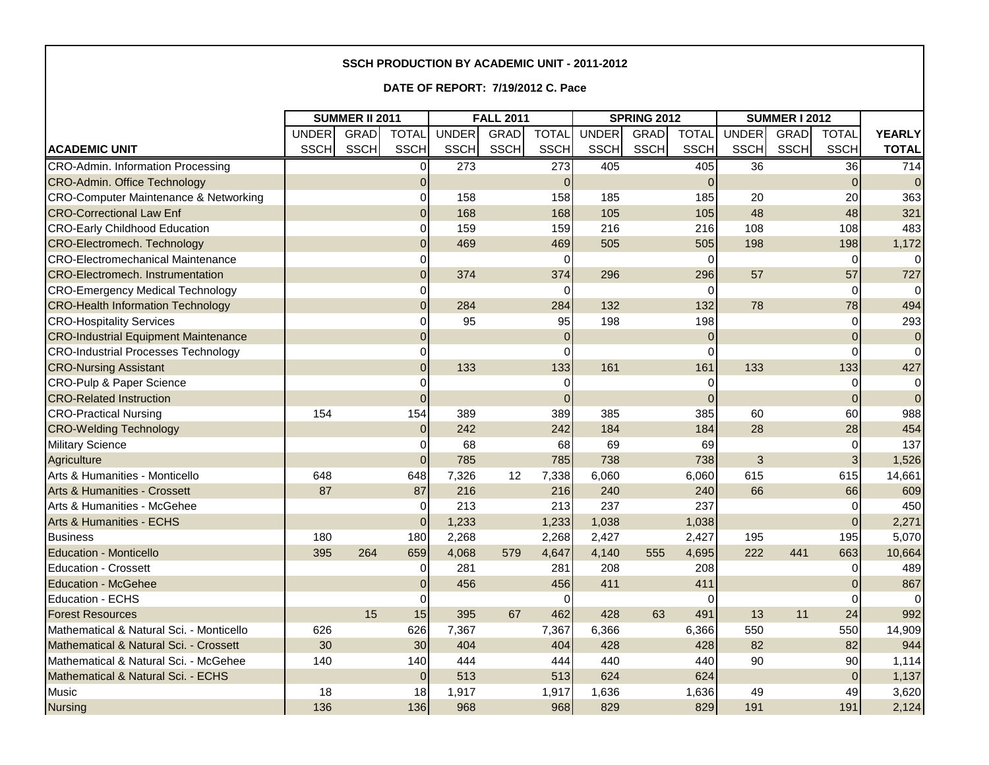## **SSCH PRODUCTION BY ACADEMIC UNIT - 2011-2012**

**DATE OF REPORT: 7/19/2012 C. Pace**

|                                                  | <b>SUMMER II 2011</b> |             |                 | <b>FALL 2011</b> |             |              | <b>SPRING 2012</b> |             |              | <b>SUMMER I 2012</b> |             |                |                |
|--------------------------------------------------|-----------------------|-------------|-----------------|------------------|-------------|--------------|--------------------|-------------|--------------|----------------------|-------------|----------------|----------------|
|                                                  | <b>UNDER</b>          | <b>GRAD</b> | <b>TOTAL</b>    | <b>UNDER</b>     | <b>GRAD</b> | <b>TOTAL</b> | <b>UNDER</b>       | GRAD        | <b>TOTAL</b> | <b>UNDER</b>         | <b>GRAD</b> | <b>TOTAL</b>   | <b>YEARLY</b>  |
| <b>ACADEMIC UNIT</b>                             | <b>SSCH</b>           | <b>SSCH</b> | <b>SSCH</b>     | <b>SSCH</b>      | <b>SSCH</b> | <b>SSCH</b>  | <b>SSCH</b>        | <b>SSCH</b> | <b>SSCH</b>  | <b>SSCH</b>          | SSCH        | <b>SSCH</b>    | <b>TOTAL</b>   |
| CRO-Admin. Information Processing                |                       |             | $\Omega$        | 273              |             | 273          | 405                |             | 405          | 36                   |             | 36             | 714            |
| <b>CRO-Admin. Office Technology</b>              |                       |             | $\Omega$        |                  |             | $\Omega$     |                    |             | $\Omega$     |                      |             | $\Omega$       | $\overline{0}$ |
| <b>CRO-Computer Maintenance &amp; Networking</b> |                       |             | $\overline{0}$  | 158              |             | 158          | 185                |             | 185          | 20                   |             | 20             | 363            |
| <b>CRO-Correctional Law Enf</b>                  |                       |             | $\overline{0}$  | 168              |             | 168          | 105                |             | 105          | 48                   |             | 48             | 321            |
| <b>CRO-Early Childhood Education</b>             |                       |             | $\mathbf 0$     | 159              |             | 159          | 216                |             | 216          | 108                  |             | 108            | 483            |
| <b>CRO-Electromech. Technology</b>               |                       |             | $\overline{0}$  | 469              |             | 469          | 505                |             | 505          | 198                  |             | 198            | 1,172          |
| <b>CRO-Electromechanical Maintenance</b>         |                       |             | $\Omega$        |                  |             | $\Omega$     |                    |             | 0            |                      |             | $\Omega$       | $\Omega$       |
| <b>CRO-Electromech. Instrumentation</b>          |                       |             | $\overline{0}$  | 374              |             | 374          | 296                |             | 296          | 57                   |             | 57             | 727            |
| <b>CRO-Emergency Medical Technology</b>          |                       |             | $\Omega$        |                  |             | 0            |                    |             | $\Omega$     |                      |             | $\Omega$       | $\Omega$       |
| <b>CRO-Health Information Technology</b>         |                       |             | $\overline{0}$  | 284              |             | 284          | 132                |             | 132          | 78                   |             | 78             | 494            |
| <b>CRO-Hospitality Services</b>                  |                       |             | $\Omega$        | 95               |             | 95           | 198                |             | 198          |                      |             | $\Omega$       | 293            |
| <b>CRO-Industrial Equipment Maintenance</b>      |                       |             | $\Omega$        |                  |             | $\Omega$     |                    |             | $\mathbf{0}$ |                      |             |                | $\overline{0}$ |
| <b>CRO-Industrial Processes Technology</b>       |                       |             | $\mathbf 0$     |                  |             | $\Omega$     |                    |             | $\Omega$     |                      |             | O              | $\Omega$       |
| <b>CRO-Nursing Assistant</b>                     |                       |             | $\overline{0}$  | 133              |             | 133          | 161                |             | 161          | 133                  |             | 133            | 427            |
| <b>CRO-Pulp &amp; Paper Science</b>              |                       |             | $\Omega$        |                  |             | $\Omega$     |                    |             | $\Omega$     |                      |             | $\Omega$       | $\Omega$       |
| <b>CRO-Related Instruction</b>                   |                       |             | $\Omega$        |                  |             | 0            |                    |             | $\Omega$     |                      |             | $\Omega$       | $\Omega$       |
| <b>CRO-Practical Nursing</b>                     | 154                   |             | 154             | 389              |             | 389          | 385                |             | 385          | 60                   |             | 60             | 988            |
| <b>CRO-Welding Technology</b>                    |                       |             | $\Omega$        | 242              |             | 242          | 184                |             | 184          | 28                   |             | 28             | 454            |
| <b>Military Science</b>                          |                       |             | $\Omega$        | 68               |             | 68           | 69                 |             | 69           |                      |             | $\Omega$       | 137            |
| Agriculture                                      |                       |             | $\overline{0}$  | 785              |             | 785          | 738                |             | 738          | 3                    |             | 3              | 1,526          |
| Arts & Humanities - Monticello                   | 648                   |             | 648             | 7,326            | 12          | 7,338        | 6,060              |             | 6,060        | 615                  |             | 615            | 14,661         |
| Arts & Humanities - Crossett                     | 87                    |             | 87              | 216              |             | 216          | 240                |             | 240          | 66                   |             | 66             | 609            |
| Arts & Humanities - McGehee                      |                       |             | $\overline{0}$  | 213              |             | 213          | 237                |             | 237          |                      |             | $\overline{0}$ | 450            |
| <b>Arts &amp; Humanities - ECHS</b>              |                       |             | $\overline{0}$  | 1,233            |             | 1,233        | 1,038              |             | 1,038        |                      |             | $\Omega$       | 2,271          |
| <b>Business</b>                                  | 180                   |             | 180             | 2,268            |             | 2,268        | 2,427              |             | 2,427        | 195                  |             | 195            | 5,070          |
| <b>Education - Monticello</b>                    | 395                   | 264         | 659             | 4,068            | 579         | 4,647        | 4,140              | 555         | 4,695        | 222                  | 441         | 663            | 10,664         |
| <b>Education - Crossett</b>                      |                       |             | $\Omega$        | 281              |             | 281          | 208                |             | 208          |                      |             | $\Omega$       | 489            |
| <b>Education - McGehee</b>                       |                       |             | $\Omega$        | 456              |             | 456          | 411                |             | 411          |                      |             |                | 867            |
| Education - ECHS                                 |                       |             | $\Omega$        |                  |             | $\Omega$     |                    |             | $\Omega$     |                      |             | $\Omega$       | $\Omega$       |
| <b>Forest Resources</b>                          |                       | 15          | 15              | 395              | 67          | 462          | 428                | 63          | 491          | 13                   | 11          | 24             | 992            |
| Mathematical & Natural Sci. - Monticello         | 626                   |             | 626             | 7,367            |             | 7,367        | 6,366              |             | 6,366        | 550                  |             | 550            | 14,909         |
| Mathematical & Natural Sci. - Crossett           | 30                    |             | 30 <sup>°</sup> | 404              |             | 404          | 428                |             | 428          | 82                   |             | 82             | 944            |
| Mathematical & Natural Sci. - McGehee            | 140                   |             | 140             | 444              |             | 444          | 440                |             | 440          | 90                   |             | 90             | 1,114          |
| Mathematical & Natural Sci. - ECHS               |                       |             | $\overline{0}$  | 513              |             | 513          | 624                |             | 624          |                      |             | $\Omega$       | 1,137          |
| <b>Music</b>                                     | 18                    |             | 18              | 1,917            |             | 1,917        | 1,636              |             | 1,636        | 49                   |             | 49             | 3,620          |
| <b>Nursing</b>                                   | 136                   |             | 136             | 968              |             | 968          | 829                |             | 829          | 191                  |             | 191            | 2,124          |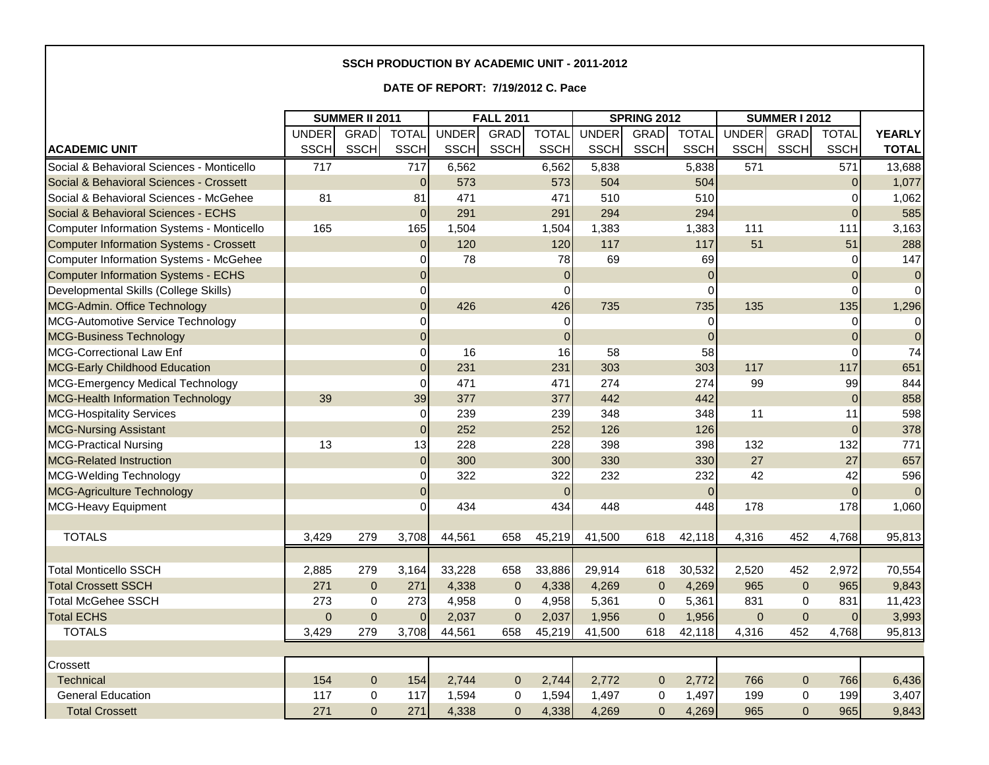## **SSCH PRODUCTION BY ACADEMIC UNIT - 2011-2012**

## **DATE OF REPORT: 7/19/2012 C. Pace**

|                                           | <b>SUMMER II 2011</b> |                |                | <b>FALL 2011</b> |              |                | <b>SPRING 2012</b> |                |              | <b>SUMMER I 2012</b> |              |                |                |
|-------------------------------------------|-----------------------|----------------|----------------|------------------|--------------|----------------|--------------------|----------------|--------------|----------------------|--------------|----------------|----------------|
|                                           | <b>UNDER</b>          | <b>GRAD</b>    | <b>TOTAL</b>   | <b>UNDER</b>     | <b>GRAD</b>  | <b>TOTAL</b>   | <b>UNDER</b>       | <b>GRAD</b>    | <b>TOTAL</b> | <b>UNDER</b>         | <b>GRAD</b>  | <b>TOTAL</b>   | <b>YEARLY</b>  |
| <b>ACADEMIC UNIT</b>                      | <b>SSCH</b>           | <b>SSCH</b>    | <b>SSCH</b>    | <b>SSCH</b>      | <b>SSCH</b>  | <b>SSCH</b>    | <b>SSCH</b>        | <b>SSCH</b>    | <b>SSCH</b>  | <b>SSCH</b>          | <b>SSCH</b>  | <b>SSCH</b>    | <b>TOTAL</b>   |
| Social & Behavioral Sciences - Monticello | 717                   |                | 717            | 6,562            |              | 6,562          | 5,838              |                | 5,838        | 571                  |              | 571            | 13,688         |
| Social & Behavioral Sciences - Crossett   |                       |                | $\Omega$       | 573              |              | 573            | 504                |                | 504          |                      |              | $\Omega$       | 1,077          |
| Social & Behavioral Sciences - McGehee    | 81                    |                | 81             | 471              |              | 471            | 510                |                | 510          |                      |              | $\Omega$       | 1,062          |
| Social & Behavioral Sciences - ECHS       |                       |                | $\Omega$       | 291              |              | 291            | 294                |                | 294          |                      |              | $\Omega$       | 585            |
| Computer Information Systems - Monticello | 165                   |                | 165            | 1,504            |              | 1,504          | 1,383              |                | 1,383        | 111                  |              | 111            | 3,163          |
| Computer Information Systems - Crossett   |                       |                | $\overline{0}$ | 120              |              | 120            | 117                |                | 117          | 51                   |              | 51             | 288            |
| Computer Information Systems - McGehee    |                       |                | 0              | 78               |              | 78             | 69                 |                | 69           |                      |              | $\overline{0}$ | 147            |
| Computer Information Systems - ECHS       |                       |                | $\Omega$       |                  |              | $\overline{0}$ |                    |                | $\mathbf 0$  |                      |              | $\Omega$       | $\overline{0}$ |
| Developmental Skills (College Skills)     |                       |                | 0              |                  |              | 0              |                    |                | $\Omega$     |                      |              | $\Omega$       | $\overline{0}$ |
| MCG-Admin. Office Technology              |                       |                | $\Omega$       | 426              |              | 426            | 735                |                | 735          | 135                  |              | 135            | 1,296          |
| MCG-Automotive Service Technology         |                       |                | $\Omega$       |                  |              | $\Omega$       |                    |                | $\Omega$     |                      |              | $\Omega$       | $\Omega$       |
| <b>MCG-Business Technology</b>            |                       |                | $\Omega$       |                  |              | $\mathbf{0}$   |                    |                | $\Omega$     |                      |              | $\Omega$       | $\overline{0}$ |
| MCG-Correctional Law Enf                  |                       |                | $\overline{0}$ | 16               |              | 16             | 58                 |                | 58           |                      |              | $\Omega$       | 74             |
| MCG-Early Childhood Education             |                       |                | $\Omega$       | 231              |              | 231            | 303                |                | 303          | 117                  |              | 117            | 651            |
| MCG-Emergency Medical Technology          |                       |                | $\Omega$       | 471              |              | 471            | 274                |                | 274          | 99                   |              | 99             | 844            |
| <b>MCG-Health Information Technology</b>  | 39                    |                | 39             | 377              |              | 377            | 442                |                | 442          |                      |              | $\Omega$       | 858            |
| <b>MCG-Hospitality Services</b>           |                       |                | $\Omega$       | 239              |              | 239            | 348                |                | 348          | 11                   |              | 11             | 598            |
| <b>MCG-Nursing Assistant</b>              |                       |                | $\Omega$       | 252              |              | 252            | 126                |                | 126          |                      |              | $\Omega$       | 378            |
| <b>MCG-Practical Nursing</b>              | 13                    |                | 13             | 228              |              | 228            | 398                |                | 398          | 132                  |              | 132            | 771            |
| <b>MCG-Related Instruction</b>            |                       |                | $\Omega$       | 300              |              | 300            | 330                |                | 330          | 27                   |              | 27             | 657            |
| MCG-Welding Technology                    |                       |                | $\overline{0}$ | 322              |              | 322            | 232                |                | 232          | 42                   |              | 42             | 596            |
| MCG-Agriculture Technology                |                       |                | 0              |                  |              | $\mathbf{0}$   |                    |                | $\mathbf 0$  |                      |              | $\overline{0}$ | 0              |
| MCG-Heavy Equipment                       |                       |                |                | 434              |              | 434            | 448                |                | 448          | 178                  |              | 178            | 1,060          |
|                                           |                       |                |                |                  |              |                |                    |                |              |                      |              |                |                |
| <b>TOTALS</b>                             | 3,429                 | 279            | 3,708          | 44,561           | 658          | 45,219         | 41,500             | 618            | 42,118       | 4,316                | 452          | 4,768          | 95,813         |
|                                           |                       |                |                |                  |              |                |                    |                |              |                      |              |                |                |
| <b>Total Monticello SSCH</b>              | 2,885                 | 279            | 3,164          | 33,228           | 658          | 33,886         | 29,914             | 618            | 30,532       | 2,520                | 452          | 2,972          | 70,554         |
| <b>Total Crossett SSCH</b>                | 271                   | $\mathbf 0$    | 271            | 4,338            | $\mathbf{0}$ | 4,338          | 4,269              | $\mathbf 0$    | 4,269        | 965                  | $\pmb{0}$    | 965            | 9,843          |
| <b>Total McGehee SSCH</b>                 | 273                   | $\Omega$       | 273            | 4,958            | 0            | 4,958          | 5,361              | 0              | 5,361        | 831                  | $\Omega$     | 831            | 11,423         |
| <b>Total ECHS</b>                         | $\overline{0}$        | $\mathbf{0}$   | $\Omega$       | 2,037            | $\mathbf 0$  | 2,037          | 1,956              | $\mathbf 0$    | 1,956        | $\Omega$             | $\Omega$     | $\Omega$       | 3,993          |
| <b>TOTALS</b>                             | 3,429                 | 279            | 3,708          | 44,561           | 658          | 45,219         | 41,500             | 618            | 42,118       | 4,316                | 452          | 4,768          | 95,813         |
|                                           |                       |                |                |                  |              |                |                    |                |              |                      |              |                |                |
| Crossett                                  |                       |                |                |                  |              |                |                    |                |              |                      |              |                |                |
| Technical                                 | 154                   | 0              | 154            | 2,744            | $\mathbf{0}$ | 2,744          | 2,772              | $\mathbf 0$    | 2,772        | 766                  | $\pmb{0}$    | 766            | 6,436          |
| <b>General Education</b>                  | 117                   | 0              | 117            | 1,594            | 0            | 1,594          | 1,497              | 0              | 1,497        | 199                  | 0            | 199            | 3,407          |
| <b>Total Crossett</b>                     | 271                   | $\overline{0}$ | 271            | 4,338            | $\Omega$     | 4,338          | 4,269              | $\overline{0}$ | 4,269        | 965                  | $\mathbf{0}$ | 965            | 9,843          |